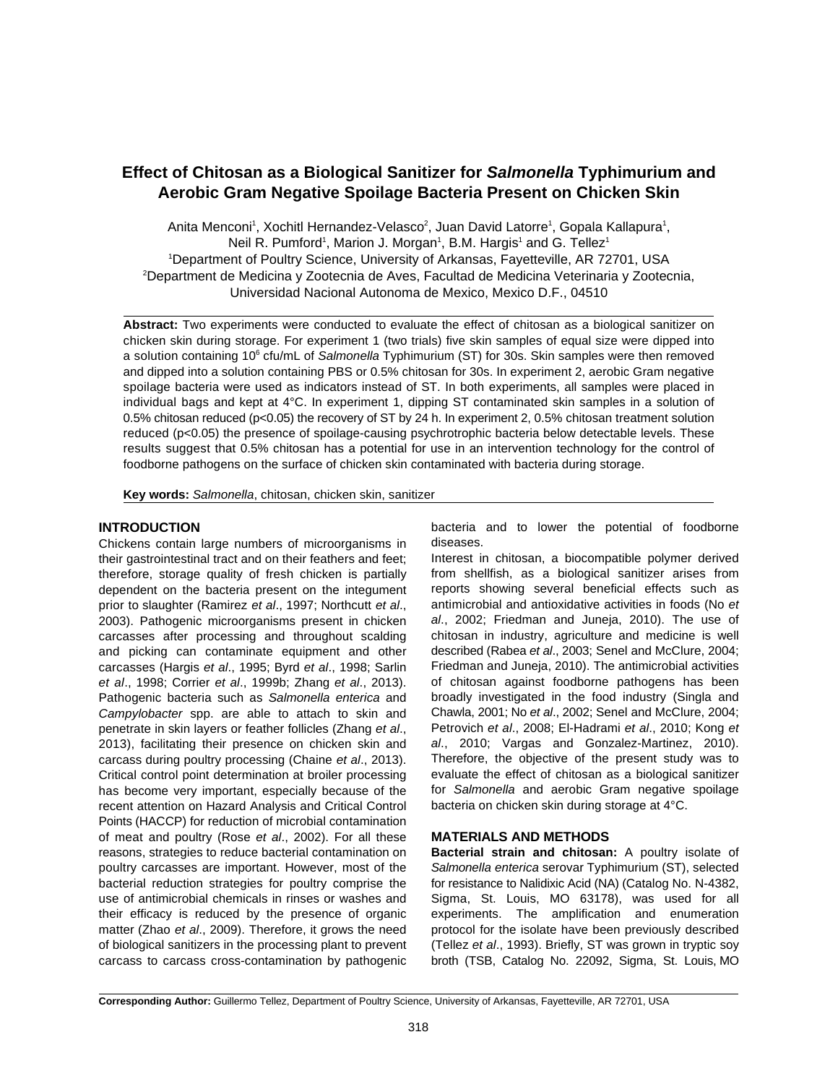# **Effect of Chitosan as a Biological Sanitizer for** *Salmonella* **Typhimurium and Aerobic Gram Negative Spoilage Bacteria Present on Chicken Skin**

Anita Menconi<sup>1</sup>, Xochitl Hernandez-Velasco<sup>2</sup>, Juan David Latorre<sup>1</sup>, Gopala Kallapura<sup>1</sup>, Neil R. Pumford<sup>1</sup>, Marion J. Morgan<sup>1</sup>, B.M. Hargis<sup>1</sup> and G. Tellez<sup>1</sup> <sup>1</sup>Department of Poultry Science, University of Arkansas, Fayetteville, AR 72701, USA <sup>2</sup>Department de Medicina y Zootecnia de Aves, Facultad de Medicina Veterinaria y Zootecnia, Universidad Nacional Autonoma de Mexico, Mexico D.F., 04510

**Abstract:** Two experiments were conducted to evaluate the effect of chitosan as a biological sanitizer on chicken skin during storage. For experiment 1 (two trials) five skin samples of equal size were dipped into a solution containing 10<sup>6</sup> cfu/mL of *Salmonella* Typhimurium (ST) for 30s. Skin samples were then removed and dipped into a solution containing PBS or 0.5% chitosan for 30s. In experiment 2, aerobic Gram negative spoilage bacteria were used as indicators instead of ST. In both experiments, all samples were placed in individual bags and kept at 4°C. In experiment 1, dipping ST contaminated skin samples in a solution of 0.5% chitosan reduced (p<0.05) the recovery of ST by 24 h. In experiment 2, 0.5% chitosan treatment solution reduced (p<0.05) the presence of spoilage-causing psychrotrophic bacteria below detectable levels. These results suggest that 0.5% chitosan has a potential for use in an intervention technology for the control of foodborne pathogens on the surface of chicken skin contaminated with bacteria during storage.

**Key words:** *Salmonella*, chitosan, chicken skin, sanitizer

# **INTRODUCTION**

Chickens contain large numbers of microorganisms in their gastrointestinal tract and on their feathers and feet; therefore, storage quality of fresh chicken is partially dependent on the bacteria present on the integument prior to slaughter (Ramirez *et al*., 1997; Northcutt *et al*., 2003). Pathogenic microorganisms present in chicken carcasses after processing and throughout scalding and picking can contaminate equipment and other carcasses (Hargis *et al*., 1995; Byrd *et al*., 1998; Sarlin *et al*., 1998; Corrier *et al*., 1999b; Zhang *et al*., 2013). Pathogenic bacteria such as *Salmonella enterica* and *Campylobacter* spp. are able to attach to skin and penetrate in skin layers or feather follicles (Zhang *et al*., 2013), facilitating their presence on chicken skin and carcass during poultry processing (Chaine *et al*., 2013). Critical control point determination at broiler processing has become very important, especially because of the recent attention on Hazard Analysis and Critical Control Points (HACCP) for reduction of microbial contamination of meat and poultry (Rose *et al*., 2002). For all these **MATERIALS AND METHODS** reasons, strategies to reduce bacterial contamination on **Bacterial strain and chitosan:** A poultry isolate of poultry carcasses are important. However, most of the *Salmonella enterica* serovar Typhimurium (ST), selected bacterial reduction strategies for poultry comprise the for resistance to Nalidixic Acid (NA) (Catalog No. N-4382, use of antimicrobial chemicals in rinses or washes and Sigma, St. Louis, MO 63178), was used for all their efficacy is reduced by the presence of organic experiments. The amplification and enumeration matter (Zhao *et al*., 2009). Therefore, it grows the need protocol for the isolate have been previously described of biological sanitizers in the processing plant to prevent (Tellez *et al*., 1993). Briefly, ST was grown in tryptic soy carcass to carcass cross-contamination by pathogenic broth (TSB, Catalog No. 22092, Sigma, St. Louis, MO

bacteria and to lower the potential of foodborne diseases.

Interest in chitosan, a biocompatible polymer derived from shellfish, as a biological sanitizer arises from reports showing several beneficial effects such as antimicrobial and antioxidative activities in foods (No *et al*., 2002; Friedman and Juneja, 2010). The use of chitosan in industry, agriculture and medicine is well described (Rabea *et al*., 2003; Senel and McClure, 2004; Friedman and Juneja, 2010). The antimicrobial activities of chitosan against foodborne pathogens has been broadly investigated in the food industry (Singla and Chawla, 2001; No *et al*., 2002; Senel and McClure, 2004; Petrovich *et al*., 2008; El-Hadrami *et al*., 2010; Kong *et al*., 2010; Vargas and Gonzalez-Martinez, 2010). Therefore, the objective of the present study was to evaluate the effect of chitosan as a biological sanitizer for *Salmonella* and aerobic Gram negative spoilage bacteria on chicken skin during storage at 4°C.

**Corresponding Author:** Guillermo Tellez, Department of Poultry Science, University of Arkansas, Fayetteville, AR 72701, USA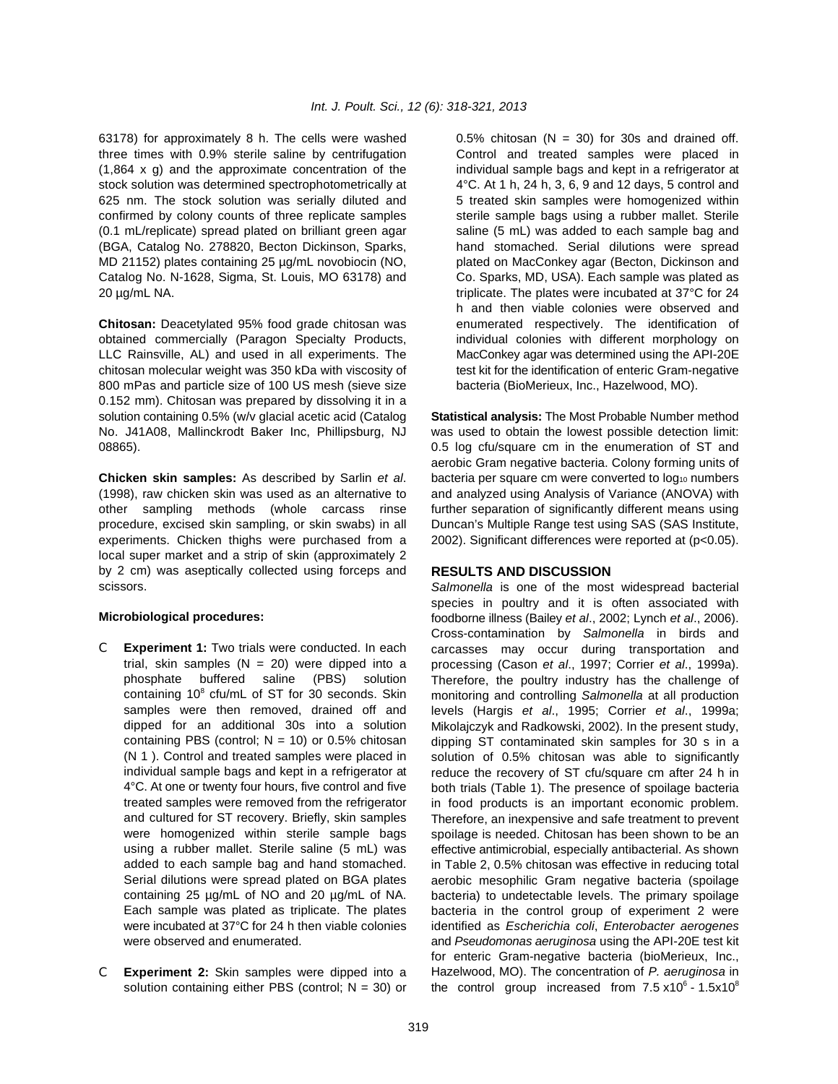63178) for approximately 8 h. The cells were washed  $0.5\%$  chitosan (N = 30) for 30s and drained off. three times with 0.9% sterile saline by centrifugation Control and treated samples were placed in  $(1,864 \times q)$  and the approximate concentration of the individual sample bags and kept in a refrigerator at stock solution was determined spectrophotometrically at 4<sup>°</sup>C. At 1 h, 24 h, 3, 6, 9 and 12 days, 5 control and 625 nm. The stock solution was serially diluted and 5 treated skin samples were homogenized within confirmed by colony counts of three replicate samples sterile sample bags using a rubber mallet. Sterile (0.1 mL/replicate) spread plated on brilliant green agar saline (5 mL) was added to each sample bag and (BGA, Catalog No. 278820, Becton Dickinson, Sparks, hand stomached. Serial dilutions were spread MD 21152) plates containing 25 µg/mL novobiocin (NO, plated on MacConkey agar (Becton, Dickinson and Catalog No. N-1628, Sigma, St. Louis, MO 63178) and Co. Sparks, MD, USA). Each sample was plated as 20 µg/mL NA. triplicate. The plates were incubated at 37°C for 24

obtained commercially (Paragon Specialty Products, individual colonies with different morphology on LLC Rainsville, AL) and used in all experiments. The MacConkey agar was determined using the API-20E chitosan molecular weight was 350 kDa with viscosity of test kit for the identification of enteric Gram-negative 800 mPas and particle size of 100 US mesh (sieve size bacteria (BioMerieux, Inc., Hazelwood, MO). 0.152 mm). Chitosan was prepared by dissolving it in a solution containing 0.5% (w/v glacial acetic acid (Catalog **Statistical analysis:** The Most Probable Number method No. J41A08, Mallinckrodt Baker Inc, Phillipsburg, NJ was used to obtain the lowest possible detection limit: 08865). **12.5 and 2.5 log cfu/square cm** in the enumeration of ST and

(1998), raw chicken skin was used as an alternative to and analyzed using Analysis of Variance (ANOVA) with other sampling methods (whole carcass rinse further separation of significantly different means using procedure, excised skin sampling, or skin swabs) in all Duncan's Multiple Range test using SAS (SAS Institute, experiments. Chicken thighs were purchased from a 2002). Significant differences were reported at (p<0.05). local super market and a strip of skin (approximately 2 by 2 cm) was aseptically collected using forceps and scissors.

### **Microbiological procedures:**

- C **Experiment 1:** Two trials were conducted. In each trial, skin samples ( $N = 20$ ) were dipped into a phosphate buffered saline (PBS) solution containing  $10^8$  cfu/mL of ST for 30 seconds. Skin samples were then removed, drained off and dipped for an additional 30s into a solution containing PBS (control:  $N = 10$ ) or 0.5% chitosan (N 1 ). Control and treated samples were placed in individual sample bags and kept in a refrigerator at 4°C. At one or twenty four hours, five control and five treated samples were removed from the refrigerator and cultured for ST recovery. Briefly, skin samples were homogenized within sterile sample bags using a rubber mallet. Sterile saline (5 mL) was added to each sample bag and hand stomached. Serial dilutions were spread plated on BGA plates containing 25 µg/mL of NO and 20 µg/mL of NA. Each sample was plated as triplicate. The plates were incubated at 37°C for 24 h then viable colonies were observed and enumerated.
- C **Experiment 2:** Skin samples were dipped into a solution containing either PBS (control;  $N = 30$ ) or

**Chitosan:** Deacetylated 95% food grade chitosan was enumerated respectively. The identification of h and then viable colonies were observed and

**Chicken skin samples:** As described by Sarlin *et al.* bacteria per square cm were converted to log<sub>10</sub> numbers aerobic Gram negative bacteria. Colony forming units of

## **RESULTS AND DISCUSSION**

*Salmonella* is one of the most widespread bacterial species in poultry and it is often associated with foodborne illness (Bailey *et al*., 2002; Lynch *et al*., 2006). Cross-contamination by *Salmonella* in birds and carcasses may occur during transportation and processing (Cason *et al*., 1997; Corrier *et al*., 1999a). Therefore, the poultry industry has the challenge of monitoring and controlling *Salmonella* at all production levels (Hargis *et al*., 1995; Corrier *et al*., 1999a; Mikolajczyk and Radkowski, 2002). In the present study, dipping ST contaminated skin samples for 30 s in a solution of 0.5% chitosan was able to significantly reduce the recovery of ST cfu/square cm after 24 h in both trials (Table 1). The presence of spoilage bacteria in food products is an important economic problem. Therefore, an inexpensive and safe treatment to prevent spoilage is needed. Chitosan has been shown to be an effective antimicrobial, especially antibacterial. As shown in Table 2, 0.5% chitosan was effective in reducing total aerobic mesophilic Gram negative bacteria (spoilage bacteria) to undetectable levels. The primary spoilage bacteria in the control group of experiment 2 were identified as *Escherichia coli*, *Enterobacter aerogenes* and *Pseudomonas aeruginosa* using the API-20E test kit for enteric Gram-negative bacteria (bioMerieux, Inc., Hazelwood, MO). The concentration of *P. aeruginosa* in the control group increased from  $7.5 \times 10^6$  -  $1.5 \times 10^8$